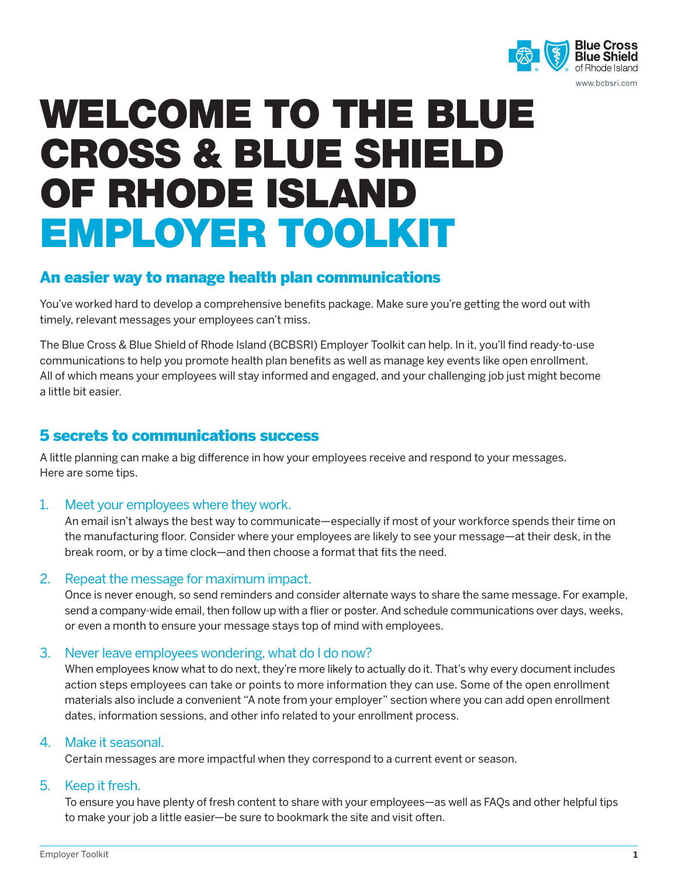

# WELCOME TO THE BLUE CROSS & BLUE SHIELD OF RHODE ISLAND EMPLOYER TOOLKIT

## An easier way to manage health plan communications

You've worked hard to develop a comprehensive benefits package. Make sure you're getting the word out with timely, relevant messages your employees can't miss.

The Blue Cross & Blue Shield of Rhode Island (BCBSRI) Employer Toolkit can help. In it, you'll find ready-to-use communications to help you promote health plan benefits as well as manage key events like open enrollment. All of which means your employees will stay informed and engaged, and your challenging job just might become a little bit easier.

## 5 secrets to communications success

A little planning can make a big difference in how your employees receive and respond to your messages. Here are some tips.

### 1. Meet your employees where they work.

An email isn't always the best way to communicate—especially if most of your workforce spends their time on the manufacturing floor. Consider where your employees are likely to see your message—at their desk, in the break room, or by a time clock—and then choose a format that fits the need.

### 2. Repeat the message for maximum impact.

Once is never enough, so send reminders and consider alternate ways to share the same message. For example, send a company-wide email, then follow up with a flier or poster. And schedule communications over days, weeks, or even a month to ensure your message stays top of mind with employees.

### 3. Never leave employees wondering, what do I do now?

When employees know what to do next, they're more likely to actually do it. That's why every document includes action steps employees can take or points to more information they can use. Some of the open enrollment materials also include a convenient "A note from your employer" section where you can add open enrollment dates, information sessions, and other info related to your enrollment process.

#### 4. Make it seasonal.

Certain messages are more impactful when they correspond to a current event or season.

#### 5. Keep it fresh.

To ensure you have plenty of fresh content to share with your employees—as well as FAQs and other helpful tips to make your job a little easier—be sure to bookmark the site and visit often.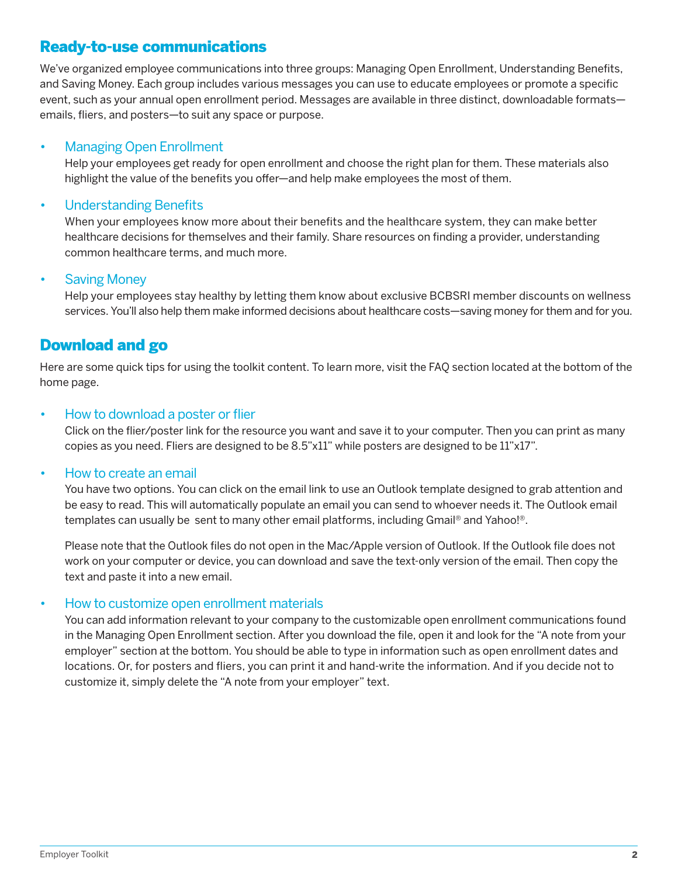## Ready-to-use communications

We've organized employee communications into three groups: Managing Open Enrollment, Understanding Benefits, and Saving Money. Each group includes various messages you can use to educate employees or promote a specific event, such as your annual open enrollment period. Messages are available in three distinct, downloadable formats emails, fliers, and posters—to suit any space or purpose.

#### • Managing Open Enrollment

Help your employees get ready for open enrollment and choose the right plan for them. These materials also highlight the value of the benefits you offer—and help make employees the most of them.

#### • Understanding Benefits

When your employees know more about their benefits and the healthcare system, they can make better healthcare decisions for themselves and their family. Share resources on finding a provider, understanding common healthcare terms, and much more.

#### **Saving Money**

Help your employees stay healthy by letting them know about exclusive BCBSRI member discounts on wellness services. You'll also help them make informed decisions about healthcare costs—saving money for them and for you.

## Download and go

Here are some quick tips for using the toolkit content. To learn more, visit the FAQ section located at the bottom of the home page.

#### • How to download a poster or flier

Click on the flier/poster link for the resource you want and save it to your computer. Then you can print as many copies as you need. Fliers are designed to be 8.5"x11" while posters are designed to be 11"x17".

#### • How to create an email

You have two options. You can click on the email link to use an Outlook template designed to grab attention and be easy to read. This will automatically populate an email you can send to whoever needs it. The Outlook email templates can usually be sent to many other email platforms, including Gmail® and Yahoo!®.

Please note that the Outlook files do not open in the Mac/Apple version of Outlook. If the Outlook file does not work on your computer or device, you can download and save the text-only version of the email. Then copy the text and paste it into a new email.

#### • How to customize open enrollment materials

You can add information relevant to your company to the customizable open enrollment communications found in the Managing Open Enrollment section. After you download the file, open it and look for the "A note from your employer" section at the bottom. You should be able to type in information such as open enrollment dates and locations. Or, for posters and fliers, you can print it and hand-write the information. And if you decide not to customize it, simply delete the "A note from your employer" text.